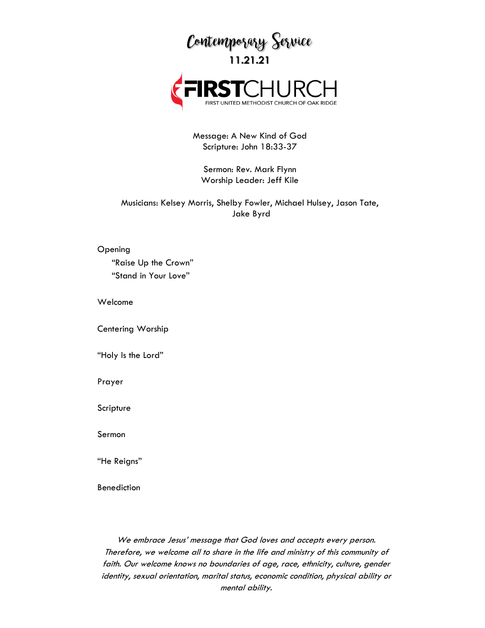

Message: A New Kind of God Scripture: John 18:33-37

Sermon: Rev. Mark Flynn Worship Leader: Jeff Kile

Musicians: Kelsey Morris, Shelby Fowler, Michael Hulsey, Jason Tate, Jake Byrd

Opening

"Raise Up the Crown" "Stand in Your Love"

Welcome

Centering Worship

"Holy Is the Lord"

Prayer

Scripture

Sermon

"He Reigns"

Benediction

We embrace Jesus' message that God loves and accepts every person. Therefore, we welcome all to share in the life and ministry of this community of faith. Our welcome knows no boundaries of age, race, ethnicity, culture, gender identity, sexual orientation, marital status, economic condition, physical ability or mental ability.